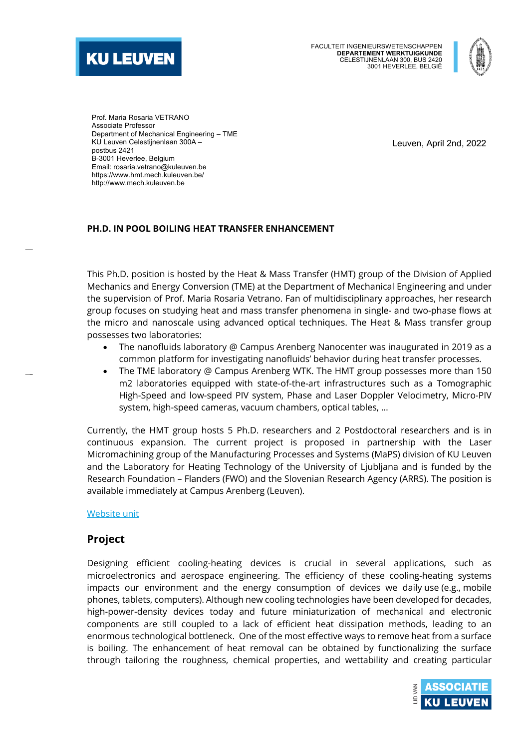



Prof. Maria Rosaria VETRANO Associate Professor Department of Mechanical Engineering – TME KU Leuven Celestijnenlaan 300A – postbus 2421 B-3001 Heverlee, Belgium Email: rosaria.vetrano@kuleuven.be https://www.hmt.mech.kuleuven.be/ http://www.mech.kuleuven.be

Leuven, April 2nd, 2022

#### **PH.D. IN POOL BOILING HEAT TRANSFER ENHANCEMENT**

This Ph.D. position is hosted by the Heat & Mass Transfer (HMT) group of the Division of Applied Mechanics and Energy Conversion (TME) at the Department of Mechanical Engineering and under the supervision of Prof. Maria Rosaria Vetrano. Fan of multidisciplinary approaches, her research group focuses on studying heat and mass transfer phenomena in single- and two-phase flows at the micro and nanoscale using advanced optical techniques. The Heat & Mass transfer group possesses two laboratories:

- The nanofluids laboratory @ Campus Arenberg Nanocenter was inaugurated in 2019 as a common platform for investigating nanofluids' behavior during heat transfer processes.
- The TME laboratory @ Campus Arenberg WTK. The HMT group possesses more than 150 m2 laboratories equipped with state-of-the-art infrastructures such as a Tomographic High-Speed and low-speed PIV system, Phase and Laser Doppler Velocimetry, Micro-PIV system, high-speed cameras, vacuum chambers, optical tables, …

Currently, the HMT group hosts 5 Ph.D. researchers and 2 Postdoctoral researchers and is in continuous expansion. The current project is proposed in partnership with the Laser Micromachining group of the Manufacturing Processes and Systems (MaPS) division of KU Leuven and the Laboratory for Heating Technology of the University of Ljubljana and is funded by the Research Foundation – Flanders (FWO) and the Slovenian Research Agency (ARRS). The position is available immediately at Campus Arenberg (Leuven).

### Website unit

## **Project**

Designing efficient cooling-heating devices is crucial in several applications, such as microelectronics and aerospace engineering. The efficiency of these cooling-heating systems impacts our environment and the energy consumption of devices we daily use (e.g., mobile phones, tablets, computers). Although new cooling technologies have been developed for decades, high-power-density devices today and future miniaturization of mechanical and electronic components are still coupled to a lack of efficient heat dissipation methods, leading to an enormous technological bottleneck. One of the most effective ways to remove heat from a surface is boiling. The enhancement of heat removal can be obtained by functionalizing the surface through tailoring the roughness, chemical properties, and wettability and creating particular